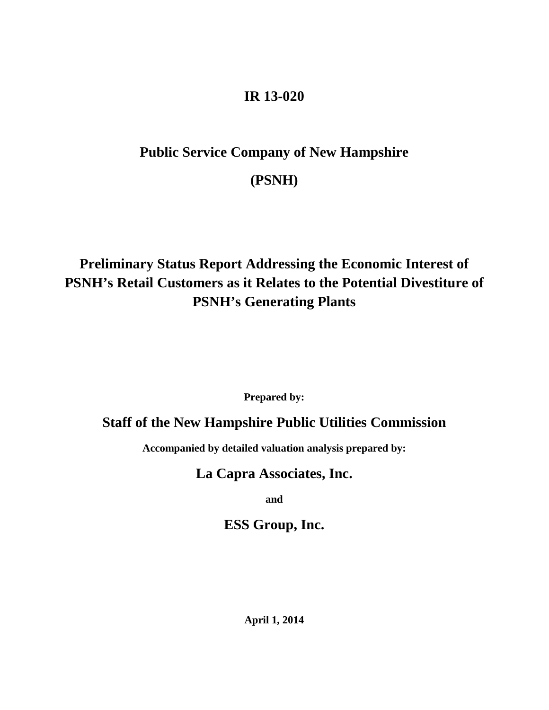#### **IR 13-020**

# **Public Service Company of New Hampshire (PSNH)**

## **Preliminary Status Report Addressing the Economic Interest of PSNH's Retail Customers as it Relates to the Potential Divestiture of PSNH's Generating Plants**

**Prepared by:**

### **Staff of the New Hampshire Public Utilities Commission**

<span id="page-0-0"></span>**Accompanied by detailed valuation analysis prepared by:**

### **La Capra Associates, Inc.**

**and**

**ESS Group, Inc.**

**April 1, 2014**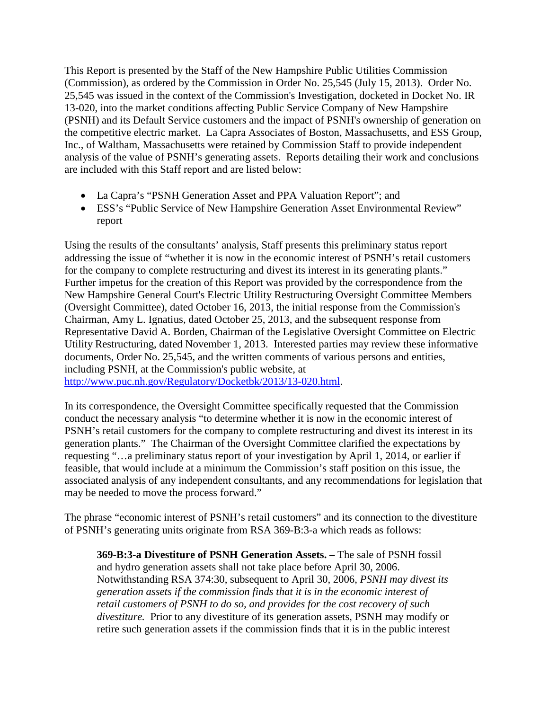This Report is presented by the Staff of the New Hampshire Public Utilities Commission (Commission), as ordered by the Commission in Order No. 25,545 (July 15, 2013). Order No. 25,545 was issued in the context of the Commission's Investigation, docketed in Docket No. IR 13-020, into the market conditions affecting Public Service Company of New Hampshire (PSNH) and its Default Service customers and the impact of PSNH's ownership of generation on the competitive electric market. La Capra Associates of Boston, Massachusetts, and ESS Group, Inc., of Waltham, Massachusetts were retained by Commission Staff to provide independent analysis of the value of PSNH's generating assets. Reports detailing their work and conclusions are included with this Staff report and are listed below:

- La Capra's "PSNH Generation Asset and PPA Valuation Report"; and
- ESS's "Public Service of New Hampshire Generation Asset Environmental Review" report

Using the results of the consultants' analysis, Staff presents this preliminary status report addressing the issue of "whether it is now in the economic interest of PSNH's retail customers for the company to complete restructuring and divest its interest in its generating plants." Further impetus for the creation of this Report was provided by the correspondence from the New Hampshire General Court's Electric Utility Restructuring Oversight Committee Members (Oversight Committee), dated October 16, 2013, the initial response from the Commission's Chairman, Amy L. Ignatius, dated October 25, 2013, and the subsequent response from Representative David A. Borden, Chairman of the Legislative Oversight Committee on Electric Utility Restructuring, dated November 1, 2013. Interested parties may review these informative documents, Order No. 25,545, and the written comments of various persons and entities, including PSNH, at the Commission's public website, at

[http://www.puc.nh.gov/Regulatory/Docketbk/2013/13-020.html.](http://www.puc.nh.gov/Regulatory/Docketbk/2013/13-020.html)

In its correspondence, the Oversight Committee specifically requested that the Commission conduct the necessary analysis "to determine whether it is now in the economic interest of PSNH's retail customers for the company to complete restructuring and divest its interest in its generation plants." The Chairman of the Oversight Committee clarified the expectations by requesting "…a preliminary status report of your investigation by April 1, 2014, or earlier if feasible, that would include at a minimum the Commission's staff position on this issue, the associated analysis of any independent consultants, and any recommendations for legislation that may be needed to move the process forward."

The phrase "economic interest of PSNH's retail customers" and its connection to the divestiture of PSNH's generating units originate from RSA 369-B:3-a which reads as follows:

**369-B:3-a Divestiture of PSNH Generation Assets. –** The sale of PSNH fossil and hydro generation assets shall not take place before April 30, 2006. Notwithstanding RSA 374:30, subsequent to April 30, 2006, *PSNH may divest its generation assets if the commission finds that it is in the economic interest of retail customers of PSNH to do so, and provides for the cost recovery of such divestiture.* Prior to any divestiture of its generation assets, PSNH may modify or retire such generation assets if the commission finds that it is in the public interest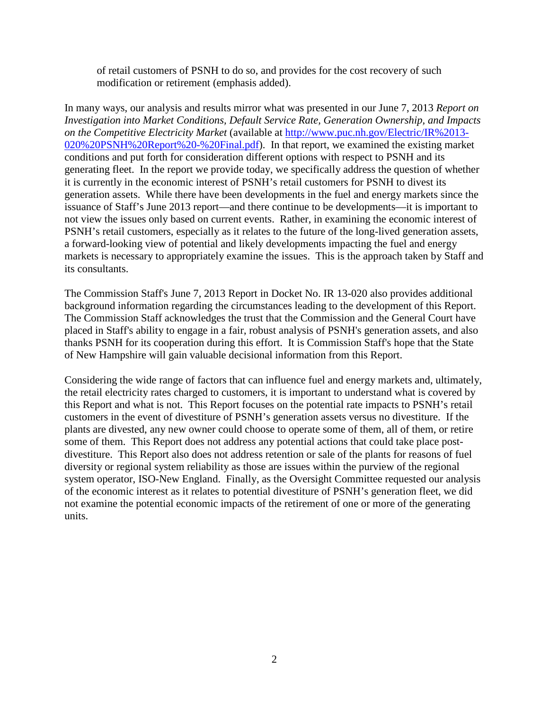of retail customers of PSNH to do so, and provides for the cost recovery of such modification or retirement (emphasis added).

In many ways, our analysis and results mirror what was presented in our June 7, 2013 *Report on Investigation into Market Conditions, Default Service Rate, Generation Ownership, and Impacts on the Competitive Electricity Market* (available at [http://www.puc.nh.gov/Electric/IR%2013-](http://www.puc.nh.gov/Electric/IR%2013-020%20PSNH%20Report%20-%20Final.pdf) [020%20PSNH%20Report%20-%20Final.pdf\)](http://www.puc.nh.gov/Electric/IR%2013-020%20PSNH%20Report%20-%20Final.pdf). In that report, we examined the existing market conditions and put forth for consideration different options with respect to PSNH and its generating fleet. In the report we provide today, we specifically address the question of whether it is currently in the economic interest of PSNH's retail customers for PSNH to divest its generation assets. While there have been developments in the fuel and energy markets since the issuance of Staff's June 2013 report—and there continue to be developments—it is important to not view the issues only based on current events. Rather, in examining the economic interest of PSNH's retail customers, especially as it relates to the future of the long-lived generation assets, a forward-looking view of potential and likely developments impacting the fuel and energy markets is necessary to appropriately examine the issues. This is the approach taken by Staff and its consultants.

The Commission Staff's June 7, 2013 Report in Docket No. IR 13-020 also provides additional background information regarding the circumstances leading to the development of this Report. The Commission Staff acknowledges the trust that the Commission and the General Court have placed in Staff's ability to engage in a fair, robust analysis of PSNH's generation assets, and also thanks PSNH for its cooperation during this effort. It is Commission Staff's hope that the State of New Hampshire will gain valuable decisional information from this Report.

Considering the wide range of factors that can influence fuel and energy markets and, ultimately, the retail electricity rates charged to customers, it is important to understand what is covered by this Report and what is not. This Report focuses on the potential rate impacts to PSNH's retail customers in the event of divestiture of PSNH's generation assets versus no divestiture. If the plants are divested, any new owner could choose to operate some of them, all of them, or retire some of them. This Report does not address any potential actions that could take place postdivestiture. This Report also does not address retention or sale of the plants for reasons of fuel diversity or regional system reliability as those are issues within the purview of the regional system operator, ISO-New England. Finally, as the Oversight Committee requested our analysis of the economic interest as it relates to potential divestiture of PSNH's generation fleet, we did not examine the potential economic impacts of the retirement of one or more of the generating units.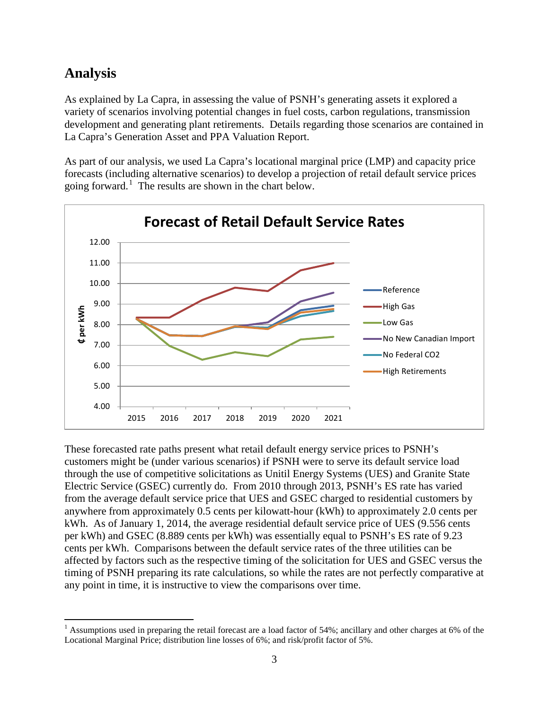## **Analysis**

As explained by La Capra, in assessing the value of PSNH's generating assets it explored a variety of scenarios involving potential changes in fuel costs, carbon regulations, transmission development and generating plant retirements. Details regarding those scenarios are contained in La Capra's Generation Asset and PPA Valuation Report.

As part of our analysis, we used La Capra's locational marginal price (LMP) and capacity price forecasts (including alternative scenarios) to develop a projection of retail default service prices going forward.<sup>[1](#page-0-0)</sup> The results are shown in the chart below.



These forecasted rate paths present what retail default energy service prices to PSNH's customers might be (under various scenarios) if PSNH were to serve its default service load through the use of competitive solicitations as Unitil Energy Systems (UES) and Granite State Electric Service (GSEC) currently do. From 2010 through 2013, PSNH's ES rate has varied from the average default service price that UES and GSEC charged to residential customers by anywhere from approximately 0.5 cents per kilowatt-hour (kWh) to approximately 2.0 cents per kWh. As of January 1, 2014, the average residential default service price of UES (9.556 cents per kWh) and GSEC (8.889 cents per kWh) was essentially equal to PSNH's ES rate of 9.23 cents per kWh. Comparisons between the default service rates of the three utilities can be affected by factors such as the respective timing of the solicitation for UES and GSEC versus the timing of PSNH preparing its rate calculations, so while the rates are not perfectly comparative at any point in time, it is instructive to view the comparisons over time.

<span id="page-3-0"></span><sup>&</sup>lt;sup>1</sup> Assumptions used in preparing the retail forecast are a load factor of 54%; ancillary and other charges at 6% of the Locational Marginal Price; distribution line losses of 6%; and risk/profit factor of 5%.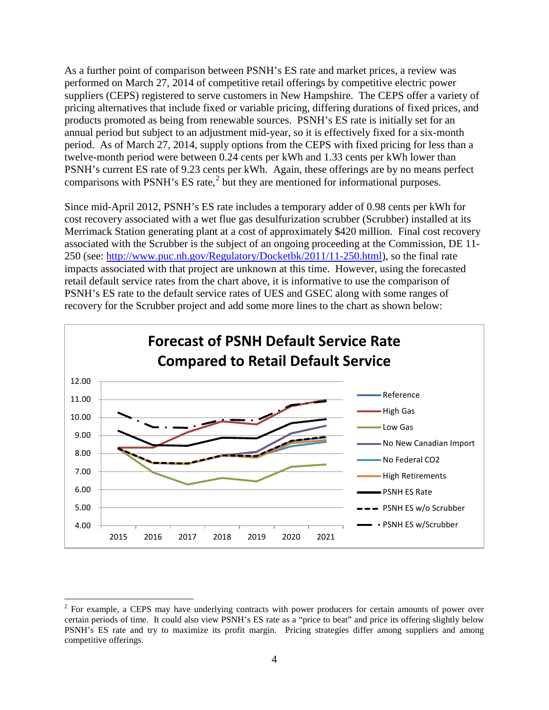As a further point of comparison between PSNH's ES rate and market prices, a review was performed on March 27, 2014 of competitive retail offerings by competitive electric power suppliers (CEPS) registered to serve customers in New Hampshire. The CEPS offer a variety of pricing alternatives that include fixed or variable pricing, differing durations of fixed prices, and products promoted as being from renewable sources. PSNH's ES rate is initially set for an annual period but subject to an adjustment mid-year, so it is effectively fixed for a six-month period. As of March 27, 2014, supply options from the CEPS with fixed pricing for less than a twelve-month period were between 0.24 cents per kWh and 1.33 cents per kWh lower than PSNH's current ES rate of 9.23 cents per kWh. Again, these offerings are by no means perfect comparisons with PSNH's ES rate, $<sup>2</sup>$  $<sup>2</sup>$  $<sup>2</sup>$  but they are mentioned for informational purposes.</sup>

Since mid-April 2012, PSNH's ES rate includes a temporary adder of 0.98 cents per kWh for cost recovery associated with a wet flue gas desulfurization scrubber (Scrubber) installed at its Merrimack Station generating plant at a cost of approximately \$420 million. Final cost recovery associated with the Scrubber is the subject of an ongoing proceeding at the Commission, DE 11- 250 (see: [http://www.puc.nh.gov/Regulatory/Docketbk/2011/11-250.html\)](http://www.puc.nh.gov/Regulatory/Docketbk/2011/11-250.html), so the final rate impacts associated with that project are unknown at this time. However, using the forecasted retail default service rates from the chart above, it is informative to use the comparison of PSNH's ES rate to the default service rates of UES and GSEC along with some ranges of recovery for the Scrubber project and add some more lines to the chart as shown below:



<span id="page-4-0"></span><sup>&</sup>lt;sup>2</sup> For example, a CEPS may have underlying contracts with power producers for certain amounts of power over certain periods of time. It could also view PSNH's ES rate as a "price to beat" and price its offering slightly below PSNH's ES rate and try to maximize its profit margin. Pricing strategies differ among suppliers and among competitive offerings.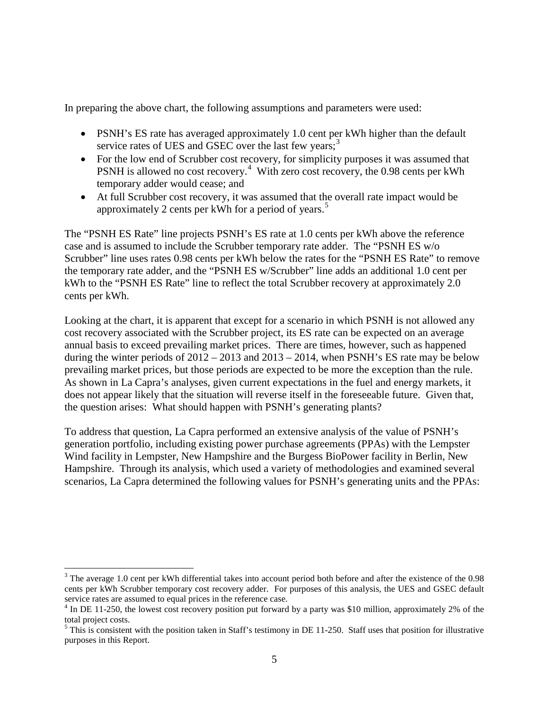In preparing the above chart, the following assumptions and parameters were used:

- PSNH's ES rate has averaged approximately 1.0 cent per kWh higher than the default service rates of UES and GSEC over the last few years;<sup>[3](#page-4-0)</sup>
- For the low end of Scrubber cost recovery, for simplicity purposes it was assumed that PSNH is allowed no cost recovery.<sup>[4](#page-5-0)</sup> With zero cost recovery, the 0.98 cents per kWh temporary adder would cease; and
- At full Scrubber cost recovery, it was assumed that the overall rate impact would be approximately 2 cents per kWh for a period of years.<sup>[5](#page-5-1)</sup>

The "PSNH ES Rate" line projects PSNH's ES rate at 1.0 cents per kWh above the reference case and is assumed to include the Scrubber temporary rate adder. The "PSNH ES w/o Scrubber" line uses rates 0.98 cents per kWh below the rates for the "PSNH ES Rate" to remove the temporary rate adder, and the "PSNH ES w/Scrubber" line adds an additional 1.0 cent per kWh to the "PSNH ES Rate" line to reflect the total Scrubber recovery at approximately 2.0 cents per kWh.

Looking at the chart, it is apparent that except for a scenario in which PSNH is not allowed any cost recovery associated with the Scrubber project, its ES rate can be expected on an average annual basis to exceed prevailing market prices. There are times, however, such as happened during the winter periods of  $2012 - 2013$  and  $2013 - 2014$ , when PSNH's ES rate may be below prevailing market prices, but those periods are expected to be more the exception than the rule. As shown in La Capra's analyses, given current expectations in the fuel and energy markets, it does not appear likely that the situation will reverse itself in the foreseeable future. Given that, the question arises: What should happen with PSNH's generating plants?

To address that question, La Capra performed an extensive analysis of the value of PSNH's generation portfolio, including existing power purchase agreements (PPAs) with the Lempster Wind facility in Lempster, New Hampshire and the Burgess BioPower facility in Berlin, New Hampshire. Through its analysis, which used a variety of methodologies and examined several scenarios, La Capra determined the following values for PSNH's generating units and the PPAs:

<span id="page-5-2"></span><sup>&</sup>lt;sup>3</sup> The average 1.0 cent per kWh differential takes into account period both before and after the existence of the 0.98 cents per kWh Scrubber temporary cost recovery adder. For purposes of this analysis, the UES and GSEC default service rates are assumed to equal prices in the reference case.

<span id="page-5-0"></span><sup>&</sup>lt;sup>4</sup> In DE 11-250, the lowest cost recovery position put forward by a party was \$10 million, approximately 2% of the total project costs.

<span id="page-5-1"></span> $<sup>5</sup>$  This is consistent with the position taken in Staff's testimony in DE 11-250. Staff uses that position for illustrative</sup> purposes in this Report.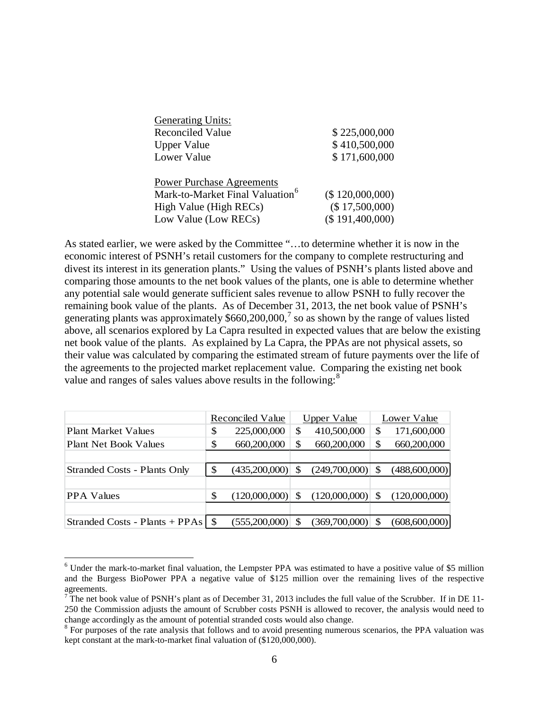| <b>Generating Units:</b>                    |                     |
|---------------------------------------------|---------------------|
| Reconciled Value                            | \$225,000,000       |
| <b>Upper Value</b>                          | \$410,500,000       |
| Lower Value                                 | \$171,600,000       |
| <b>Power Purchase Agreements</b>            |                     |
| Mark-to-Market Final Valuation <sup>6</sup> | $($ \$ 120,000,000) |

| Mark-to-Market Final Valuation <sup>6</sup> | (\$120,000,000) |
|---------------------------------------------|-----------------|
| High Value (High RECs)                      | (\$17,500,000)  |
| Low Value (Low RECs)                        | (\$191,400,000) |

As stated earlier, we were asked by the Committee "…to determine whether it is now in the economic interest of PSNH's retail customers for the company to complete restructuring and divest its interest in its generation plants." Using the values of PSNH's plants listed above and comparing those amounts to the net book values of the plants, one is able to determine whether any potential sale would generate sufficient sales revenue to allow PSNH to fully recover the remaining book value of the plants. As of December 31, 2013, the net book value of PSNH's generating plants was approximately  $$660,200,000,7$  $$660,200,000,7$  so as shown by the range of values listed above, all scenarios explored by La Capra resulted in expected values that are below the existing net book value of the plants. As explained by La Capra, the PPAs are not physical assets, so their value was calculated by comparing the estimated stream of future payments over the life of the agreements to the projected market replacement value. Comparing the existing net book value and ranges of sales values above results in the following:<sup>[8](#page-6-1)</sup>

|                                          | Reconciled Value |                | <b>Upper Value</b> |                    | Lower Value |               |
|------------------------------------------|------------------|----------------|--------------------|--------------------|-------------|---------------|
| <b>Plant Market Values</b>               | \$               | 225,000,000    | S                  | 410,500,000        |             | 171,600,000   |
| <b>Plant Net Book Values</b>             | \$               | 660,200,000    |                    | 660,200,000        |             | 660,200,000   |
|                                          |                  |                |                    |                    |             |               |
| <b>Stranded Costs - Plants Only</b>      | S                | (435,200,000)  | <sup>\$</sup>      | $(249,700,000)$ \$ |             | (488,600,000) |
|                                          |                  |                |                    |                    |             |               |
| <b>PPA</b> Values                        |                  | (120,000,000)  | <sup>\$</sup>      | $(120,000,000)$ \$ |             | (120,000,000) |
|                                          |                  |                |                    |                    |             |               |
| Stranded Costs - Plants + PPAs $\mid$ \$ |                  | (555.200.000)] |                    | (369,700,000)      |             | (608,600,000) |

 <sup>6</sup> Under the mark-to-market final valuation, the Lempster PPA was estimated to have a positive value of \$5 million and the Burgess BioPower PPA a negative value of \$125 million over the remaining lives of the respective agreements.

<span id="page-6-2"></span><span id="page-6-0"></span> $\frac{7}{7}$  The net book value of PSNH's plant as of December 31, 2013 includes the full value of the Scrubber. If in DE 11-250 the Commission adjusts the amount of Scrubber costs PSNH is allowed to recover, the analysis would need to change accordingly as the amount of potential stranded costs would also change.<br><sup>8</sup> For purposes of the rate analysis that follows and to avoid presenting numerous scenarios, the PPA valuation was

<span id="page-6-1"></span>kept constant at the mark-to-market final valuation of (\$120,000,000).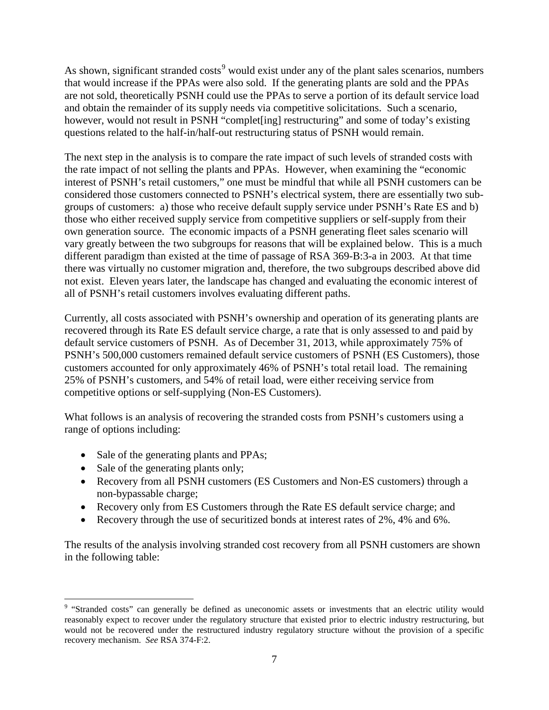As shown, significant stranded costs<sup>[9](#page-6-2)</sup> would exist under any of the plant sales scenarios, numbers that would increase if the PPAs were also sold. If the generating plants are sold and the PPAs are not sold, theoretically PSNH could use the PPAs to serve a portion of its default service load and obtain the remainder of its supply needs via competitive solicitations. Such a scenario, however, would not result in PSNH "complet [ing] restructuring" and some of today's existing questions related to the half-in/half-out restructuring status of PSNH would remain.

The next step in the analysis is to compare the rate impact of such levels of stranded costs with the rate impact of not selling the plants and PPAs. However, when examining the "economic interest of PSNH's retail customers," one must be mindful that while all PSNH customers can be considered those customers connected to PSNH's electrical system, there are essentially two subgroups of customers: a) those who receive default supply service under PSNH's Rate ES and b) those who either received supply service from competitive suppliers or self-supply from their own generation source. The economic impacts of a PSNH generating fleet sales scenario will vary greatly between the two subgroups for reasons that will be explained below. This is a much different paradigm than existed at the time of passage of RSA 369-B:3-a in 2003. At that time there was virtually no customer migration and, therefore, the two subgroups described above did not exist. Eleven years later, the landscape has changed and evaluating the economic interest of all of PSNH's retail customers involves evaluating different paths.

Currently, all costs associated with PSNH's ownership and operation of its generating plants are recovered through its Rate ES default service charge, a rate that is only assessed to and paid by default service customers of PSNH. As of December 31, 2013, while approximately 75% of PSNH's 500,000 customers remained default service customers of PSNH (ES Customers), those customers accounted for only approximately 46% of PSNH's total retail load. The remaining 25% of PSNH's customers, and 54% of retail load, were either receiving service from competitive options or self-supplying (Non-ES Customers).

What follows is an analysis of recovering the stranded costs from PSNH's customers using a range of options including:

- Sale of the generating plants and PPAs;
- Sale of the generating plants only;
- Recovery from all PSNH customers (ES Customers and Non-ES customers) through a non-bypassable charge;
- Recovery only from ES Customers through the Rate ES default service charge; and
- Recovery through the use of securitized bonds at interest rates of 2%, 4% and 6%.

The results of the analysis involving stranded cost recovery from all PSNH customers are shown in the following table:

<span id="page-7-0"></span><sup>&</sup>lt;sup>9</sup> "Stranded costs" can generally be defined as uneconomic assets or investments that an electric utility would reasonably expect to recover under the regulatory structure that existed prior to electric industry restructuring, but would not be recovered under the restructured industry regulatory structure without the provision of a specific recovery mechanism. *See* RSA 374-F:2.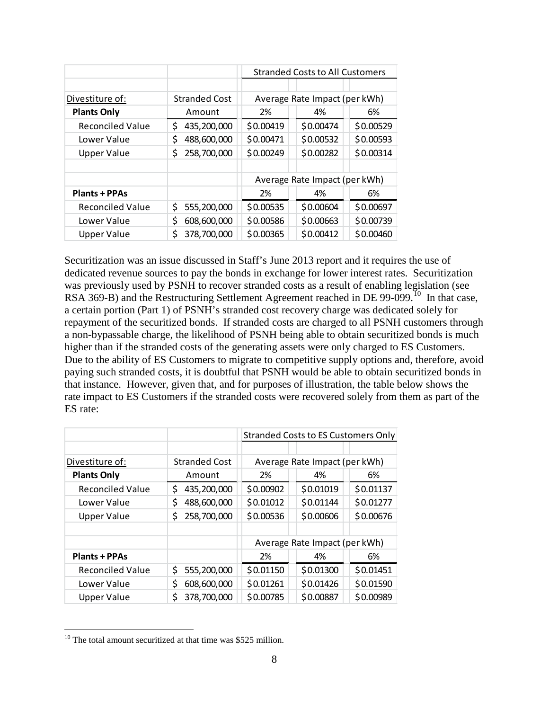|                         |                      | <b>Stranded Costs to All Customers</b> |           |           |  |
|-------------------------|----------------------|----------------------------------------|-----------|-----------|--|
|                         |                      |                                        |           |           |  |
| Divestiture of:         | <b>Stranded Cost</b> | Average Rate Impact (per kWh)          |           |           |  |
| <b>Plants Only</b>      | Amount               | 2%                                     | 4%        | 6%        |  |
| <b>Reconciled Value</b> | 435,200,000<br>S     | \$0.00419                              | \$0.00474 | \$0.00529 |  |
| Lower Value             | \$<br>488,600,000    | \$0.00471                              | \$0.00532 | \$0.00593 |  |
| <b>Upper Value</b>      | 258,700,000<br>S     | \$0.00249                              | \$0.00282 | \$0.00314 |  |
|                         |                      |                                        |           |           |  |
|                         |                      | Average Rate Impact (per kWh)          |           |           |  |
| <b>Plants + PPAs</b>    |                      | 2%                                     | 4%        | 6%        |  |
| <b>Reconciled Value</b> | 555,200,000<br>S     | \$0.00535                              | \$0.00604 | \$0.00697 |  |
| Lower Value             | Ś<br>608,600,000     | \$0.00586                              | \$0.00663 | \$0.00739 |  |
| Upper Value             | 378,700,000<br>\$    | \$0.00365                              | \$0.00412 | \$0.00460 |  |

Securitization was an issue discussed in Staff's June 2013 report and it requires the use of dedicated revenue sources to pay the bonds in exchange for lower interest rates. Securitization was previously used by PSNH to recover stranded costs as a result of enabling legislation (see RSA 369-B) and the Restructuring Settlement Agreement reached in DE 99-099.<sup>10</sup> In that case, a certain portion (Part 1) of PSNH's stranded cost recovery charge was dedicated solely for repayment of the securitized bonds. If stranded costs are charged to all PSNH customers through a non-bypassable charge, the likelihood of PSNH being able to obtain securitized bonds is much higher than if the stranded costs of the generating assets were only charged to ES Customers. Due to the ability of ES Customers to migrate to competitive supply options and, therefore, avoid paying such stranded costs, it is doubtful that PSNH would be able to obtain securitized bonds in that instance. However, given that, and for purposes of illustration, the table below shows the rate impact to ES Customers if the stranded costs were recovered solely from them as part of the ES rate:

|                         |                      | Stranded Costs to ES Customers Only |           |           |  |
|-------------------------|----------------------|-------------------------------------|-----------|-----------|--|
|                         |                      |                                     |           |           |  |
| Divestiture of:         | <b>Stranded Cost</b> | Average Rate Impact (per kWh)       |           |           |  |
| <b>Plants Only</b>      | Amount               | 2%                                  | 4%        | 6%        |  |
| <b>Reconciled Value</b> | 435,200,000<br>\$    | \$0.00902                           | \$0.01019 | \$0.01137 |  |
| Lower Value             | 488,600,000          | \$0.01012                           | \$0.01144 | \$0.01277 |  |
| <b>Upper Value</b>      | 258,700,000<br>\$    | \$0.00536                           | \$0.00606 | \$0.00676 |  |
|                         |                      |                                     |           |           |  |
|                         |                      | Average Rate Impact (per kWh)       |           |           |  |
| <b>Plants + PPAs</b>    |                      | 2%                                  | 4%        | 6%        |  |
| <b>Reconciled Value</b> | 555,200,000<br>\$    | \$0.01150                           | \$0.01300 | \$0.01451 |  |
| Lower Value             | 608,600,000<br>\$    | \$0.01261                           | \$0.01426 | \$0.01590 |  |
| <b>Upper Value</b>      | 378,700,000<br>S     | \$0.00785                           | \$0.00887 | \$0.00989 |  |

<span id="page-8-0"></span> $10$  The total amount securitized at that time was \$525 million.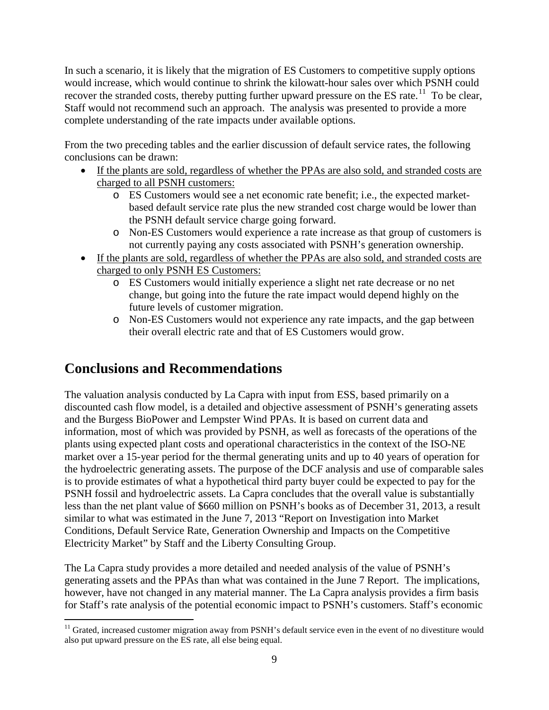In such a scenario, it is likely that the migration of ES Customers to competitive supply options would increase, which would continue to shrink the kilowatt-hour sales over which PSNH could recover the stranded costs, thereby putting further upward pressure on the ES rate.<sup>[11](#page-8-0)</sup> To be clear, Staff would not recommend such an approach. The analysis was presented to provide a more complete understanding of the rate impacts under available options.

From the two preceding tables and the earlier discussion of default service rates, the following conclusions can be drawn:

- If the plants are sold, regardless of whether the PPAs are also sold, and stranded costs are charged to all PSNH customers:
	- o ES Customers would see a net economic rate benefit; i.e., the expected marketbased default service rate plus the new stranded cost charge would be lower than the PSNH default service charge going forward.
	- o Non-ES Customers would experience a rate increase as that group of customers is not currently paying any costs associated with PSNH's generation ownership.
- If the plants are sold, regardless of whether the PPAs are also sold, and stranded costs are charged to only PSNH ES Customers:
	- o ES Customers would initially experience a slight net rate decrease or no net change, but going into the future the rate impact would depend highly on the future levels of customer migration.
	- o Non-ES Customers would not experience any rate impacts, and the gap between their overall electric rate and that of ES Customers would grow.

## **Conclusions and Recommendations**

The valuation analysis conducted by La Capra with input from ESS, based primarily on a discounted cash flow model, is a detailed and objective assessment of PSNH's generating assets and the Burgess BioPower and Lempster Wind PPAs. It is based on current data and information, most of which was provided by PSNH, as well as forecasts of the operations of the plants using expected plant costs and operational characteristics in the context of the ISO-NE market over a 15-year period for the thermal generating units and up to 40 years of operation for the hydroelectric generating assets. The purpose of the DCF analysis and use of comparable sales is to provide estimates of what a hypothetical third party buyer could be expected to pay for the PSNH fossil and hydroelectric assets. La Capra concludes that the overall value is substantially less than the net plant value of \$660 million on PSNH's books as of December 31, 2013, a result similar to what was estimated in the June 7, 2013 "Report on Investigation into Market Conditions, Default Service Rate, Generation Ownership and Impacts on the Competitive Electricity Market" by Staff and the Liberty Consulting Group.

The La Capra study provides a more detailed and needed analysis of the value of PSNH's generating assets and the PPAs than what was contained in the June 7 Report. The implications, however, have not changed in any material manner. The La Capra analysis provides a firm basis for Staff's rate analysis of the potential economic impact to PSNH's customers. Staff's economic

<span id="page-9-0"></span> $11$  Grated, increased customer migration away from PSNH's default service even in the event of no divestiture would also put upward pressure on the ES rate, all else being equal.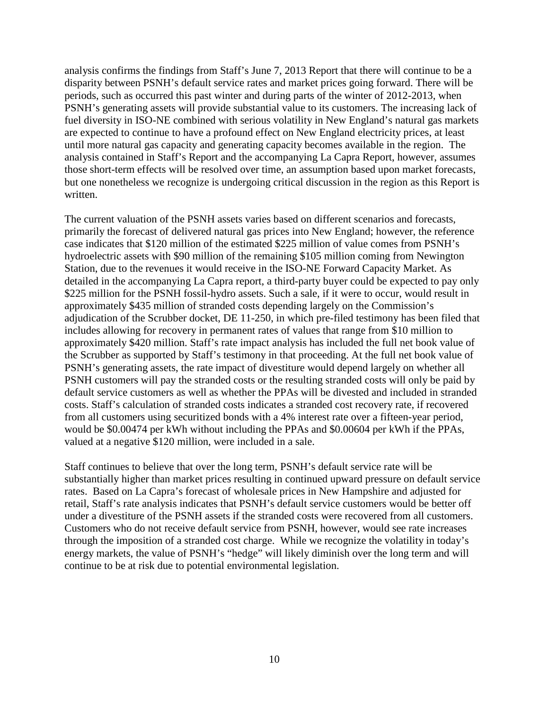analysis confirms the findings from Staff's June 7, 2013 Report that there will continue to be a disparity between PSNH's default service rates and market prices going forward. There will be periods, such as occurred this past winter and during parts of the winter of 2012-2013, when PSNH's generating assets will provide substantial value to its customers. The increasing lack of fuel diversity in ISO-NE combined with serious volatility in New England's natural gas markets are expected to continue to have a profound effect on New England electricity prices, at least until more natural gas capacity and generating capacity becomes available in the region. The analysis contained in Staff's Report and the accompanying La Capra Report, however, assumes those short-term effects will be resolved over time, an assumption based upon market forecasts, but one nonetheless we recognize is undergoing critical discussion in the region as this Report is written.

The current valuation of the PSNH assets varies based on different scenarios and forecasts, primarily the forecast of delivered natural gas prices into New England; however, the reference case indicates that \$120 million of the estimated \$225 million of value comes from PSNH's hydroelectric assets with \$90 million of the remaining \$105 million coming from Newington Station, due to the revenues it would receive in the ISO-NE Forward Capacity Market. As detailed in the accompanying La Capra report, a third-party buyer could be expected to pay only \$225 million for the PSNH fossil-hydro assets. Such a sale, if it were to occur, would result in approximately \$435 million of stranded costs depending largely on the Commission's adjudication of the Scrubber docket, DE 11-250, in which pre-filed testimony has been filed that includes allowing for recovery in permanent rates of values that range from \$10 million to approximately \$420 million. Staff's rate impact analysis has included the full net book value of the Scrubber as supported by Staff's testimony in that proceeding. At the full net book value of PSNH's generating assets, the rate impact of divestiture would depend largely on whether all PSNH customers will pay the stranded costs or the resulting stranded costs will only be paid by default service customers as well as whether the PPAs will be divested and included in stranded costs. Staff's calculation of stranded costs indicates a stranded cost recovery rate, if recovered from all customers using securitized bonds with a 4% interest rate over a fifteen-year period, would be \$0.00474 per kWh without including the PPAs and \$0.00604 per kWh if the PPAs, valued at a negative \$120 million, were included in a sale.

Staff continues to believe that over the long term, PSNH's default service rate will be substantially higher than market prices resulting in continued upward pressure on default service rates. Based on La Capra's forecast of wholesale prices in New Hampshire and adjusted for retail, Staff's rate analysis indicates that PSNH's default service customers would be better off under a divestiture of the PSNH assets if the stranded costs were recovered from all customers. Customers who do not receive default service from PSNH, however, would see rate increases through the imposition of a stranded cost charge. While we recognize the volatility in today's energy markets, the value of PSNH's "hedge" will likely diminish over the long term and will continue to be at risk due to potential environmental legislation.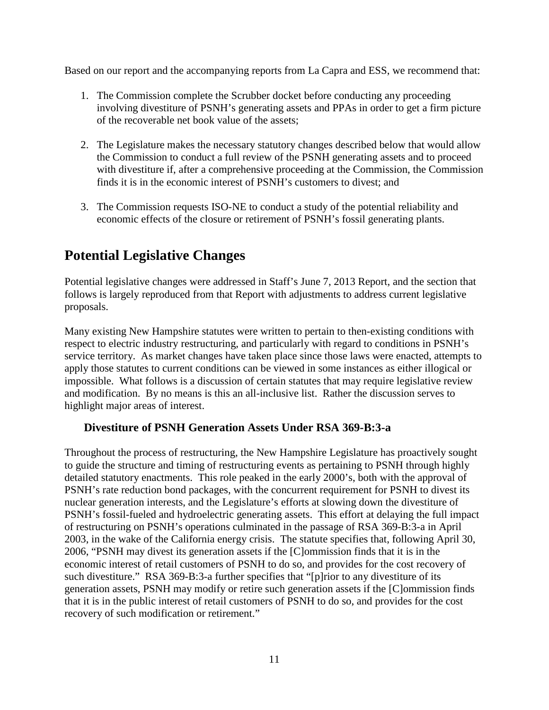Based on our report and the accompanying reports from La Capra and ESS, we recommend that:

- 1. The Commission complete the Scrubber docket before conducting any proceeding involving divestiture of PSNH's generating assets and PPAs in order to get a firm picture of the recoverable net book value of the assets;
- 2. The Legislature makes the necessary statutory changes described below that would allow the Commission to conduct a full review of the PSNH generating assets and to proceed with divestiture if, after a comprehensive proceeding at the Commission, the Commission finds it is in the economic interest of PSNH's customers to divest; and
- 3. The Commission requests ISO-NE to conduct a study of the potential reliability and economic effects of the closure or retirement of PSNH's fossil generating plants.

## **Potential Legislative Changes**

Potential legislative changes were addressed in Staff's June 7, 2013 Report, and the section that follows is largely reproduced from that Report with adjustments to address current legislative proposals.

Many existing New Hampshire statutes were written to pertain to then-existing conditions with respect to electric industry restructuring, and particularly with regard to conditions in PSNH's service territory. As market changes have taken place since those laws were enacted, attempts to apply those statutes to current conditions can be viewed in some instances as either illogical or impossible. What follows is a discussion of certain statutes that may require legislative review and modification. By no means is this an all-inclusive list. Rather the discussion serves to highlight major areas of interest.

#### **Divestiture of PSNH Generation Assets Under RSA 369-B:3-a**

Throughout the process of restructuring, the New Hampshire Legislature has proactively sought to guide the structure and timing of restructuring events as pertaining to PSNH through highly detailed statutory enactments. This role peaked in the early 2000's, both with the approval of PSNH's rate reduction bond packages, with the concurrent requirement for PSNH to divest its nuclear generation interests, and the Legislature's efforts at slowing down the divestiture of PSNH's fossil-fueled and hydroelectric generating assets. This effort at delaying the full impact of restructuring on PSNH's operations culminated in the passage of RSA 369-B:3-a in April 2003, in the wake of the California energy crisis. The statute specifies that, following April 30, 2006, "PSNH may divest its generation assets if the [C]ommission finds that it is in the economic interest of retail customers of PSNH to do so, and provides for the cost recovery of such divestiture." RSA 369-B:3-a further specifies that "[p]rior to any divestiture of its generation assets, PSNH may modify or retire such generation assets if the [C]ommission finds that it is in the public interest of retail customers of PSNH to do so, and provides for the cost recovery of such modification or retirement."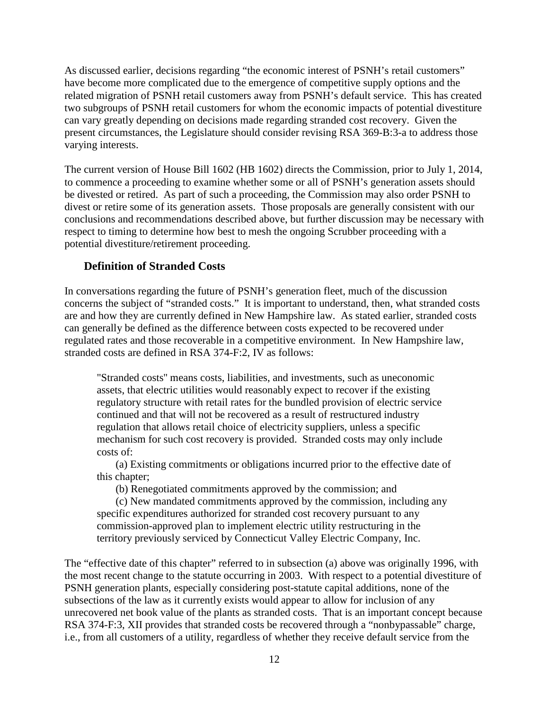As discussed earlier, decisions regarding "the economic interest of PSNH's retail customers" have become more complicated due to the emergence of competitive supply options and the related migration of PSNH retail customers away from PSNH's default service. This has created two subgroups of PSNH retail customers for whom the economic impacts of potential divestiture can vary greatly depending on decisions made regarding stranded cost recovery. Given the present circumstances, the Legislature should consider revising RSA 369-B:3-a to address those varying interests.

The current version of House Bill 1602 (HB 1602) directs the Commission, prior to July 1, 2014, to commence a proceeding to examine whether some or all of PSNH's generation assets should be divested or retired. As part of such a proceeding, the Commission may also order PSNH to divest or retire some of its generation assets. Those proposals are generally consistent with our conclusions and recommendations described above, but further discussion may be necessary with respect to timing to determine how best to mesh the ongoing Scrubber proceeding with a potential divestiture/retirement proceeding.

#### **Definition of Stranded Costs**

In conversations regarding the future of PSNH's generation fleet, much of the discussion concerns the subject of "stranded costs." It is important to understand, then, what stranded costs are and how they are currently defined in New Hampshire law. As stated earlier, stranded costs can generally be defined as the difference between costs expected to be recovered under regulated rates and those recoverable in a competitive environment. In New Hampshire law, stranded costs are defined in RSA 374-F:2, IV as follows:

"Stranded costs'' means costs, liabilities, and investments, such as uneconomic assets, that electric utilities would reasonably expect to recover if the existing regulatory structure with retail rates for the bundled provision of electric service continued and that will not be recovered as a result of restructured industry regulation that allows retail choice of electricity suppliers, unless a specific mechanism for such cost recovery is provided. Stranded costs may only include costs of:

 (a) Existing commitments or obligations incurred prior to the effective date of this chapter;

(b) Renegotiated commitments approved by the commission; and

 (c) New mandated commitments approved by the commission, including any specific expenditures authorized for stranded cost recovery pursuant to any commission-approved plan to implement electric utility restructuring in the territory previously serviced by Connecticut Valley Electric Company, Inc.

The "effective date of this chapter" referred to in subsection (a) above was originally 1996, with the most recent change to the statute occurring in 2003. With respect to a potential divestiture of PSNH generation plants, especially considering post-statute capital additions, none of the subsections of the law as it currently exists would appear to allow for inclusion of any unrecovered net book value of the plants as stranded costs. That is an important concept because RSA 374-F:3, XII provides that stranded costs be recovered through a "nonbypassable" charge, i.e., from all customers of a utility, regardless of whether they receive default service from the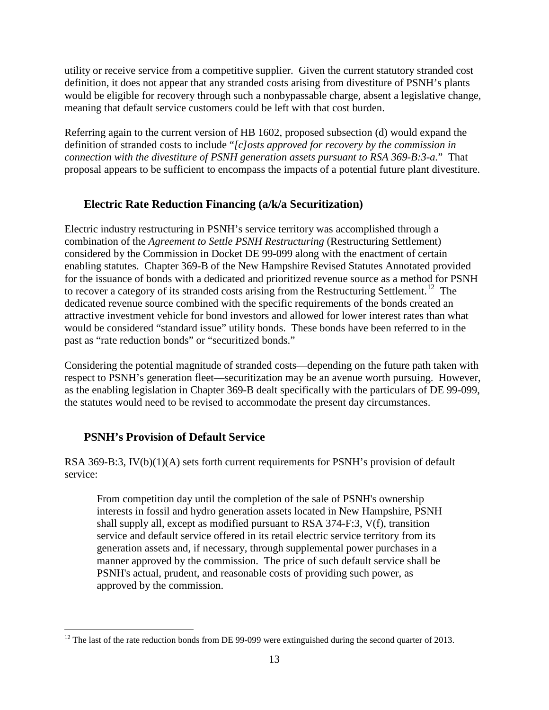utility or receive service from a competitive supplier. Given the current statutory stranded cost definition, it does not appear that any stranded costs arising from divestiture of PSNH's plants would be eligible for recovery through such a nonbypassable charge, absent a legislative change, meaning that default service customers could be left with that cost burden.

Referring again to the current version of HB 1602, proposed subsection (d) would expand the definition of stranded costs to include "*[c]osts approved for recovery by the commission in connection with the divestiture of PSNH generation assets pursuant to RSA 369-B:3-a.*" That proposal appears to be sufficient to encompass the impacts of a potential future plant divestiture.

#### **Electric Rate Reduction Financing (a/k/a Securitization)**

Electric industry restructuring in PSNH's service territory was accomplished through a combination of the *Agreement to Settle PSNH Restructuring* (Restructuring Settlement) considered by the Commission in Docket DE 99-099 along with the enactment of certain enabling statutes. Chapter 369-B of the New Hampshire Revised Statutes Annotated provided for the issuance of bonds with a dedicated and prioritized revenue source as a method for PSNH to recover a category of its stranded costs arising from the Restructuring Settlement.<sup>12</sup> The dedicated revenue source combined with the specific requirements of the bonds created an attractive investment vehicle for bond investors and allowed for lower interest rates than what would be considered "standard issue" utility bonds. These bonds have been referred to in the past as "rate reduction bonds" or "securitized bonds."

Considering the potential magnitude of stranded costs—depending on the future path taken with respect to PSNH's generation fleet—securitization may be an avenue worth pursuing. However, as the enabling legislation in Chapter 369-B dealt specifically with the particulars of DE 99-099, the statutes would need to be revised to accommodate the present day circumstances.

#### **PSNH's Provision of Default Service**

RSA 369-B:3,  $IV(b)(1)(A)$  sets forth current requirements for PSNH's provision of default service:

From competition day until the completion of the sale of PSNH's ownership interests in fossil and hydro generation assets located in New Hampshire, PSNH shall supply all, except as modified pursuant to RSA 374-F:3, V(f), transition service and default service offered in its retail electric service territory from its generation assets and, if necessary, through supplemental power purchases in a manner approved by the commission. The price of such default service shall be PSNH's actual, prudent, and reasonable costs of providing such power, as approved by the commission.

 $12$  The last of the rate reduction bonds from DE 99-099 were extinguished during the second quarter of 2013.